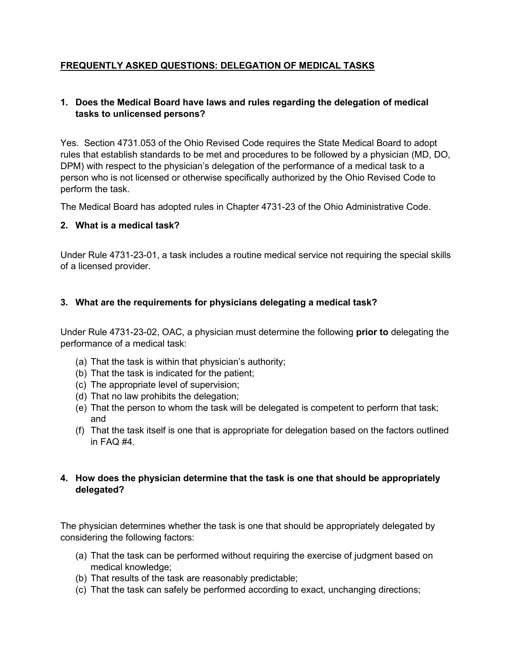# **FREQUENTLY ASKED QUESTIONS: DELEGATION OF MEDICAL TASKS**

## **1. Does the Medical Board have laws and rules regarding the delegation of medical tasks to unlicensed persons?**

Yes. Section 4731.053 of the Ohio Revised Code requires the State Medical Board to adopt rules that establish standards to be met and procedures to be followed by a physician (MD, DO, DPM) with respect to the physician's delegation of the performance of a medical task to a person who is not licensed or otherwise specifically authorized by the Ohio Revised Code to perform the task.

The Medical Board has adopted rules in Chapter 4731-23 of the Ohio Administrative Code.

## **2. What is a medical task?**

Under Rule 4731-23-01, a task includes a routine medical service not requiring the special skills of a licensed provider.

## **3. What are the requirements for physicians delegating a medical task?**

Under Rule 4731-23-02, OAC, a physician must determine the following **prior to** delegating the performance of a medical task:

- (a) That the task is within that physician's authority;
- (b) That the task is indicated for the patient;
- (c) The appropriate level of supervision;
- (d) That no law prohibits the delegation;
- (e) That the person to whom the task will be delegated is competent to perform that task; and
- (f) That the task itself is one that is appropriate for delegation based on the factors outlined in FAQ #4.

## **4. How does the physician determine that the task is one that should be appropriately delegated?**

The physician determines whether the task is one that should be appropriately delegated by considering the following factors:

- (a) That the task can be performed without requiring the exercise of judgment based on medical knowledge;
- (b) That results of the task are reasonably predictable;
- (c) That the task can safely be performed according to exact, unchanging directions;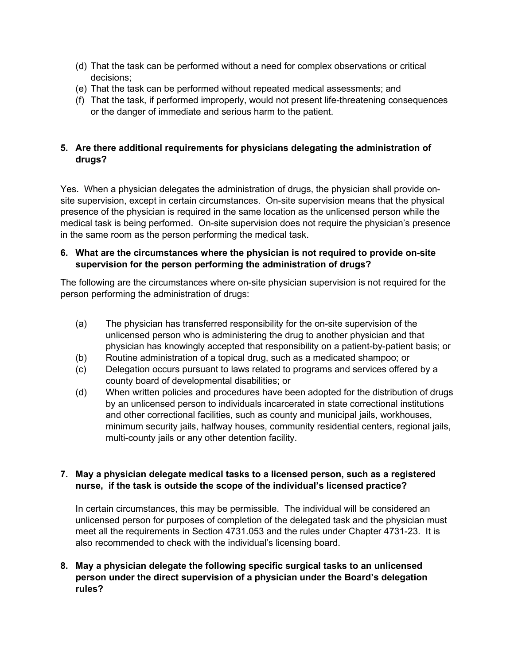- (d) That the task can be performed without a need for complex observations or critical decisions;
- (e) That the task can be performed without repeated medical assessments; and
- (f) That the task, if performed improperly, would not present life-threatening consequences or the danger of immediate and serious harm to the patient.

# **5. Are there additional requirements for physicians delegating the administration of drugs?**

Yes. When a physician delegates the administration of drugs, the physician shall provide onsite supervision, except in certain circumstances. On-site supervision means that the physical presence of the physician is required in the same location as the unlicensed person while the medical task is being performed. On-site supervision does not require the physician's presence in the same room as the person performing the medical task.

#### **6. What are the circumstances where the physician is not required to provide on-site supervision for the person performing the administration of drugs?**

The following are the circumstances where on-site physician supervision is not required for the person performing the administration of drugs:

- (a) The physician has transferred responsibility for the on-site supervision of the unlicensed person who is administering the drug to another physician and that physician has knowingly accepted that responsibility on a patient-by-patient basis; or
- (b) Routine administration of a topical drug, such as a medicated shampoo; or
- (c) Delegation occurs pursuant to laws related to programs and services offered by a county board of developmental disabilities; or
- (d) When written policies and procedures have been adopted for the distribution of drugs by an unlicensed person to individuals incarcerated in state correctional institutions and other correctional facilities, such as county and municipal jails, workhouses, minimum security jails, halfway houses, community residential centers, regional jails, multi-county jails or any other detention facility.

## **7. May a physician delegate medical tasks to a licensed person, such as a registered nurse, if the task is outside the scope of the individual's licensed practice?**

In certain circumstances, this may be permissible. The individual will be considered an unlicensed person for purposes of completion of the delegated task and the physician must meet all the requirements in Section 4731.053 and the rules under Chapter 4731-23. It is also recommended to check with the individual's licensing board.

## **8. May a physician delegate the following specific surgical tasks to an unlicensed person under the direct supervision of a physician under the Board's delegation rules?**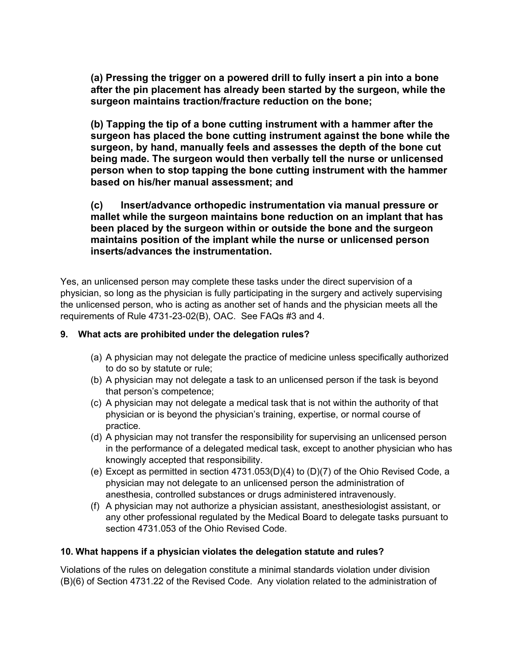**(a) Pressing the trigger on a powered drill to fully insert a pin into a bone after the pin placement has already been started by the surgeon, while the surgeon maintains traction/fracture reduction on the bone;**

**(b) Tapping the tip of a bone cutting instrument with a hammer after the surgeon has placed the bone cutting instrument against the bone while the surgeon, by hand, manually feels and assesses the depth of the bone cut being made. The surgeon would then verbally tell the nurse or unlicensed person when to stop tapping the bone cutting instrument with the hammer based on his/her manual assessment; and**

**(c) Insert/advance orthopedic instrumentation via manual pressure or mallet while the surgeon maintains bone reduction on an implant that has been placed by the surgeon within or outside the bone and the surgeon maintains position of the implant while the nurse or unlicensed person inserts/advances the instrumentation.**

Yes, an unlicensed person may complete these tasks under the direct supervision of a physician, so long as the physician is fully participating in the surgery and actively supervising the unlicensed person, who is acting as another set of hands and the physician meets all the requirements of Rule 4731-23-02(B), OAC. See FAQs #3 and 4.

#### **9. What acts are prohibited under the delegation rules?**

- (a) A physician may not delegate the practice of medicine unless specifically authorized to do so by statute or rule;
- (b) A physician may not delegate a task to an unlicensed person if the task is beyond that person's competence;
- (c) A physician may not delegate a medical task that is not within the authority of that physician or is beyond the physician's training, expertise, or normal course of practice.
- (d) A physician may not transfer the responsibility for supervising an unlicensed person in the performance of a delegated medical task, except to another physician who has knowingly accepted that responsibility.
- (e) Except as permitted in section 4731.053(D)(4) to (D)(7) of the Ohio Revised Code, a physician may not delegate to an unlicensed person the administration of anesthesia, controlled substances or drugs administered intravenously.
- (f) A physician may not authorize a physician assistant, anesthesiologist assistant, or any other professional regulated by the Medical Board to delegate tasks pursuant to section 4731.053 of the Ohio Revised Code.

## **10. What happens if a physician violates the delegation statute and rules?**

Violations of the rules on delegation constitute a minimal standards violation under division (B)(6) of Section 4731.22 of the Revised Code. Any violation related to the administration of